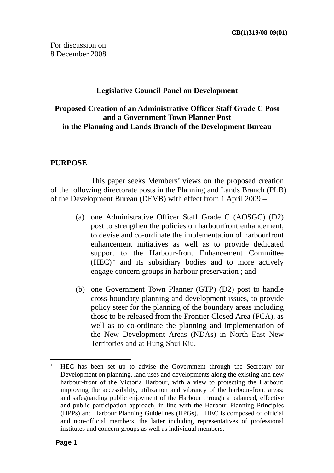## **Legislative Council Panel on Development**

## **Proposed Creation of an Administrative Officer Staff Grade C Post and a Government Town Planner Post in the Planning and Lands Branch of the Development Bureau**

## **PURPOSE**

 This paper seeks Members' views on the proposed creation of the following directorate posts in the Planning and Lands Branch (PLB) of the Development Bureau (DEVB) with effect from 1 April 2009 –

- (a) one Administrative Officer Staff Grade C (AOSGC) (D2) post to strengthen the policies on harbourfront enhancement, to devise and co-ordinate the implementation of harbourfront enhancement initiatives as well as to provide dedicated support to the Harbour-front Enhancement Committee  $(HEC)^1$  and its subsidiary bodies and to more actively engage concern groups in harbour preservation ; and
- (b) one Government Town Planner (GTP) (D2) post to handle cross-boundary planning and development issues, to provide policy steer for the planning of the boundary areas including those to be released from the Frontier Closed Area (FCA), as well as to co-ordinate the planning and implementation of the New Development Areas (NDAs) in North East New Territories and at Hung Shui Kiu.

 $\overline{a}$ 1 HEC has been set up to advise the Government through the Secretary for Development on planning, land uses and developments along the existing and new harbour-front of the Victoria Harbour, with a view to protecting the Harbour; improving the accessibility, utilization and vibrancy of the harbour-front areas; and safeguarding public enjoyment of the Harbour through a balanced, effective and public participation approach, in line with the Harbour Planning Principles (HPPs) and Harbour Planning Guidelines (HPGs). HEC is composed of official and non-official members, the latter including representatives of professional institutes and concern groups as well as individual members.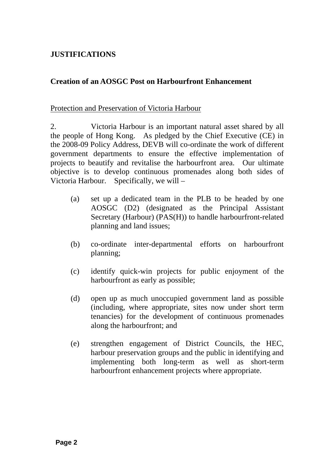## **JUSTIFICATIONS**

## **Creation of an AOSGC Post on Harbourfront Enhancement**

#### Protection and Preservation of Victoria Harbour

2. Victoria Harbour is an important natural asset shared by all the people of Hong Kong. As pledged by the Chief Executive (CE) in the 2008-09 Policy Address, DEVB will co-ordinate the work of different government departments to ensure the effective implementation of projects to beautify and revitalise the harbourfront area. Our ultimate objective is to develop continuous promenades along both sides of Victoria Harbour. Specifically, we will –

- (a) set up a dedicated team in the PLB to be headed by one AOSGC (D2) (designated as the Principal Assistant Secretary (Harbour) (PAS(H)) to handle harbourfront-related planning and land issues;
- (b) co-ordinate inter-departmental efforts on harbourfront planning;
- (c) identify quick-win projects for public enjoyment of the harbourfront as early as possible;
- (d) open up as much unoccupied government land as possible (including, where appropriate, sites now under short term tenancies) for the development of continuous promenades along the harbourfront; and
- (e) strengthen engagement of District Councils, the HEC, harbour preservation groups and the public in identifying and implementing both long-term as well as short-term harbourfront enhancement projects where appropriate.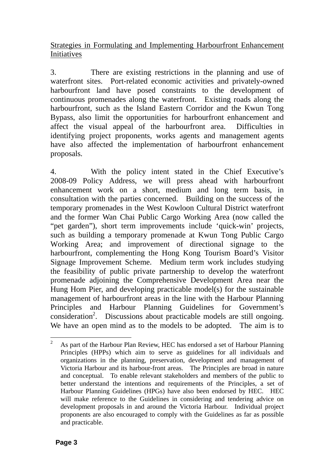Strategies in Formulating and Implementing Harbourfront Enhancement Initiatives

3. There are existing restrictions in the planning and use of waterfront sites. Port-related economic activities and privately-owned harbourfront land have posed constraints to the development of continuous promenades along the waterfront. Existing roads along the harbourfront, such as the Island Eastern Corridor and the Kwun Tong Bypass, also limit the opportunities for harbourfront enhancement and affect the visual appeal of the harbourfront area. Difficulties in identifying project proponents, works agents and management agents have also affected the implementation of harbourfront enhancement proposals.

4. With the policy intent stated in the Chief Executive's 2008-09 Policy Address, we will press ahead with harbourfront enhancement work on a short, medium and long term basis, in consultation with the parties concerned. Building on the success of the temporary promenades in the West Kowloon Cultural District waterfront and the former Wan Chai Public Cargo Working Area (now called the "pet garden"), short term improvements include 'quick-win' projects, such as building a temporary promenade at Kwun Tong Public Cargo Working Area; and improvement of directional signage to the harbourfront, complementing the Hong Kong Tourism Board's Visitor Signage Improvement Scheme. Medium term work includes studying the feasibility of public private partnership to develop the waterfront promenade adjoining the Comprehensive Development Area near the Hung Hom Pier, and developing practicable model(s) for the sustainable management of harbourfront areas in the line with the Harbour Planning Principles and Harbour Planning Guidelines for Government's consideration<sup>2</sup>. Discussions about practicable models are still ongoing. We have an open mind as to the models to be adopted. The aim is to

 $\frac{1}{2}$  As part of the Harbour Plan Review, HEC has endorsed a set of Harbour Planning Principles (HPPs) which aim to serve as guidelines for all individuals and organizations in the planning, preservation, development and management of Victoria Harbour and its harbour-front areas. The Principles are broad in nature and conceptual. To enable relevant stakeholders and members of the public to better understand the intentions and requirements of the Principles, a set of Harbour Planning Guidelines (HPGs) have also been endorsed by HEC. HEC will make reference to the Guidelines in considering and tendering advice on development proposals in and around the Victoria Harbour. Individual project proponents are also encouraged to comply with the Guidelines as far as possible and practicable.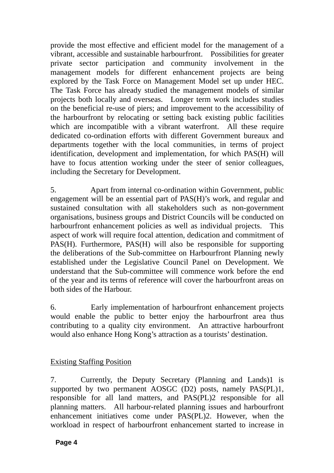provide the most effective and efficient model for the management of a vibrant, accessible and sustainable harbourfront. Possibilities for greater private sector participation and community involvement in the management models for different enhancement projects are being explored by the Task Force on Management Model set up under HEC. The Task Force has already studied the management models of similar projects both locally and overseas. Longer term work includes studies on the beneficial re-use of piers; and improvement to the accessibility of the harbourfront by relocating or setting back existing public facilities which are incompatible with a vibrant waterfront. All these require dedicated co-ordination efforts with different Government bureaux and departments together with the local communities, in terms of project identification, development and implementation, for which PAS(H) will have to focus attention working under the steer of senior colleagues, including the Secretary for Development.

5. Apart from internal co-ordination within Government, public engagement will be an essential part of PAS(H)'s work, and regular and sustained consultation with all stakeholders such as non-government organisations, business groups and District Councils will be conducted on harbourfront enhancement policies as well as individual projects. This aspect of work will require focal attention, dedication and commitment of PAS(H). Furthermore, PAS(H) will also be responsible for supporting the deliberations of the Sub-committee on Harbourfront Planning newly established under the Legislative Council Panel on Development. We understand that the Sub-committee will commence work before the end of the year and its terms of reference will cover the harbourfront areas on both sides of the Harbour.

6. Early implementation of harbourfront enhancement projects would enable the public to better enjoy the harbourfront area thus contributing to a quality city environment. An attractive harbourfront would also enhance Hong Kong's attraction as a tourists' destination.

## Existing Staffing Position

7. Currently, the Deputy Secretary (Planning and Lands)1 is supported by two permanent AOSGC (D2) posts, namely PAS(PL)1, responsible for all land matters, and PAS(PL)2 responsible for all planning matters. All harbour-related planning issues and harbourfront enhancement initiatives come under PAS(PL)2. However, when the workload in respect of harbourfront enhancement started to increase in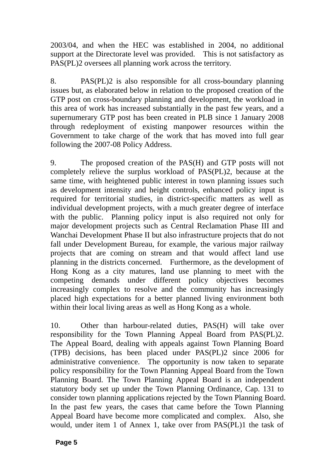2003/04, and when the HEC was established in 2004, no additional support at the Directorate level was provided. This is not satisfactory as PAS(PL)2 oversees all planning work across the territory.

8. PAS(PL)2 is also responsible for all cross-boundary planning issues but, as elaborated below in relation to the proposed creation of the GTP post on cross-boundary planning and development, the workload in this area of work has increased substantially in the past few years, and a supernumerary GTP post has been created in PLB since 1 January 2008 through redeployment of existing manpower resources within the Government to take charge of the work that has moved into full gear following the 2007-08 Policy Address.

9. The proposed creation of the PAS(H) and GTP posts will not completely relieve the surplus workload of PAS(PL)2, because at the same time, with heightened public interest in town planning issues such as development intensity and height controls, enhanced policy input is required for territorial studies, in district-specific matters as well as individual development projects, with a much greater degree of interface with the public. Planning policy input is also required not only for major development projects such as Central Reclamation Phase III and Wanchai Development Phase II but also infrastructure projects that do not fall under Development Bureau, for example, the various major railway projects that are coming on stream and that would affect land use planning in the districts concerned. Furthermore, as the development of Hong Kong as a city matures, land use planning to meet with the competing demands under different policy objectives becomes increasingly complex to resolve and the community has increasingly placed high expectations for a better planned living environment both within their local living areas as well as Hong Kong as a whole.

10. Other than harbour-related duties, PAS(H) will take over responsibility for the Town Planning Appeal Board from PAS(PL)2. The Appeal Board, dealing with appeals against Town Planning Board (TPB) decisions, has been placed under PAS(PL)2 since 2006 for administrative convenience. The opportunity is now taken to separate policy responsibility for the Town Planning Appeal Board from the Town Planning Board. The Town Planning Appeal Board is an independent statutory body set up under the Town Planning Ordinance, Cap. 131 to consider town planning applications rejected by the Town Planning Board. In the past few years, the cases that came before the Town Planning Appeal Board have become more complicated and complex. Also, she would, under item 1 of Annex 1, take over from PAS(PL)1 the task of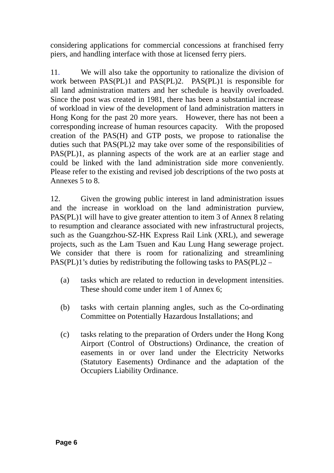considering applications for commercial concessions at franchised ferry piers, and handling interface with those at licensed ferry piers.

11. We will also take the opportunity to rationalize the division of work between PAS(PL)1 and PAS(PL)2. PAS(PL)1 is responsible for all land administration matters and her schedule is heavily overloaded. Since the post was created in 1981, there has been a substantial increase of workload in view of the development of land administration matters in Hong Kong for the past 20 more years. However, there has not been a corresponding increase of human resources capacity. With the proposed creation of the PAS(H) and GTP posts, we propose to rationalise the duties such that PAS(PL)2 may take over some of the responsibilities of PAS(PL)1, as planning aspects of the work are at an earlier stage and could be linked with the land administration side more conveniently. Please refer to the existing and revised job descriptions of the two posts at Annexes 5 to 8.

12. Given the growing public interest in land administration issues and the increase in workload on the land administration purview, PAS(PL)1 will have to give greater attention to item 3 of Annex 8 relating to resumption and clearance associated with new infrastructural projects, such as the Guangzhou-SZ-HK Express Rail Link (XRL), and sewerage projects, such as the Lam Tsuen and Kau Lung Hang sewerage project. We consider that there is room for rationalizing and streamlining PAS(PL)1's duties by redistributing the following tasks to PAS(PL)2 –

- (a) tasks which are related to reduction in development intensities. These should come under item 1 of Annex 6;
- (b) tasks with certain planning angles, such as the Co-ordinating Committee on Potentially Hazardous Installations; and
- (c) tasks relating to the preparation of Orders under the Hong Kong Airport (Control of Obstructions) Ordinance, the creation of easements in or over land under the Electricity Networks (Statutory Easements) Ordinance and the adaptation of the Occupiers Liability Ordinance.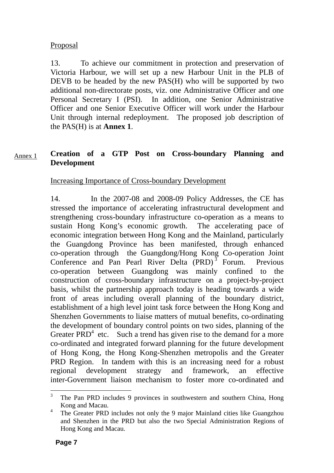## Proposal

13. To achieve our commitment in protection and preservation of Victoria Harbour, we will set up a new Harbour Unit in the PLB of DEVB to be headed by the new PAS(H) who will be supported by two additional non-directorate posts, viz. one Administrative Officer and one Personal Secretary I (PSI). In addition, one Senior Administrative Officer and one Senior Executive Officer will work under the Harbour Unit through internal redeployment. The proposed job description of the PAS(H) is at **Annex 1**.

#### **Creation of a GTP Post on Cross-boundary Planning and Development**  Annex 1

Increasing Importance of Cross-boundary Development

14. In the 2007-08 and 2008-09 Policy Addresses, the CE has stressed the importance of accelerating infrastructural development and strengthening cross-boundary infrastructure co-operation as a means to sustain Hong Kong's economic growth. The accelerating pace of economic integration between Hong Kong and the Mainland, particularly the Guangdong Province has been manifested, through enhanced co-operation through the Guangdong/Hong Kong Co-operation Joint Conference and Pan Pearl River Delta (PRD)<sup>3</sup> Forum. Previous co-operation between Guangdong was mainly confined to the construction of cross-boundary infrastructure on a project-by-project basis, whilst the partnership approach today is heading towards a wide front of areas including overall planning of the boundary district, establishment of a high level joint task force between the Hong Kong and Shenzhen Governments to liaise matters of mutual benefits, co-ordinating the development of boundary control points on two sides, planning of the Greater  $\overrightarrow{PRD}^4$  etc. Such a trend has given rise to the demand for a more co-ordinated and integrated forward planning for the future development of Hong Kong, the Hong Kong-Shenzhen metropolis and the Greater PRD Region. In tandem with this is an increasing need for a robust regional development strategy and framework, an effective inter-Government liaison mechanism to foster more co-ordinated and

 $\overline{3}$ 3 The Pan PRD includes 9 provinces in southwestern and southern China, Hong Kong and Macau.

<sup>4</sup> The Greater PRD includes not only the 9 major Mainland cities like Guangzhou and Shenzhen in the PRD but also the two Special Administration Regions of Hong Kong and Macau.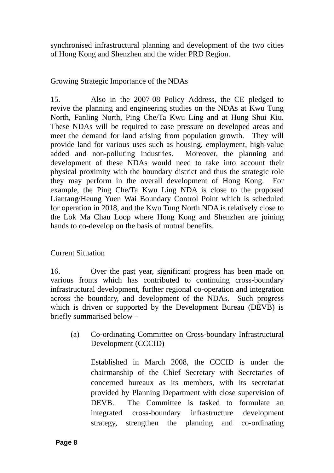synchronised infrastructural planning and development of the two cities of Hong Kong and Shenzhen and the wider PRD Region.

## Growing Strategic Importance of the NDAs

15. Also in the 2007-08 Policy Address, the CE pledged to revive the planning and engineering studies on the NDAs at Kwu Tung North, Fanling North, Ping Che/Ta Kwu Ling and at Hung Shui Kiu. These NDAs will be required to ease pressure on developed areas and meet the demand for land arising from population growth. They will provide land for various uses such as housing, employment, high-value added and non-polluting industries. Moreover, the planning and development of these NDAs would need to take into account their physical proximity with the boundary district and thus the strategic role they may perform in the overall development of Hong Kong. For example, the Ping Che/Ta Kwu Ling NDA is close to the proposed Liantang/Heung Yuen Wai Boundary Control Point which is scheduled for operation in 2018, and the Kwu Tung North NDA is relatively close to the Lok Ma Chau Loop where Hong Kong and Shenzhen are joining hands to co-develop on the basis of mutual benefits.

## Current Situation

16. Over the past year, significant progress has been made on various fronts which has contributed to continuing cross-boundary infrastructural development, further regional co-operation and integration across the boundary, and development of the NDAs. Such progress which is driven or supported by the Development Bureau (DEVB) is briefly summarised below –

(a) Co-ordinating Committee on Cross-boundary Infrastructural Development (CCCID)

Established in March 2008, the CCCID is under the chairmanship of the Chief Secretary with Secretaries of concerned bureaux as its members, with its secretariat provided by Planning Department with close supervision of DEVB. The Committee is tasked to formulate an integrated cross-boundary infrastructure development strategy, strengthen the planning and co-ordinating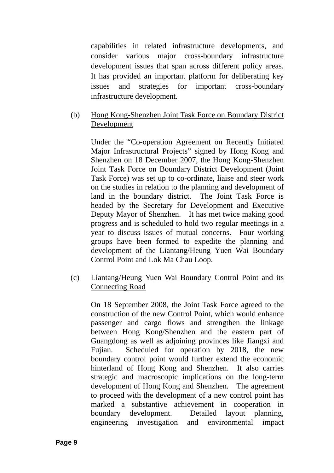capabilities in related infrastructure developments, and consider various major cross-boundary infrastructure development issues that span across different policy areas. It has provided an important platform for deliberating key issues and strategies for important cross-boundary infrastructure development.

## (b) Hong Kong-Shenzhen Joint Task Force on Boundary District Development

 Under the "Co-operation Agreement on Recently Initiated Major Infrastructural Projects" signed by Hong Kong and Shenzhen on 18 December 2007, the Hong Kong-Shenzhen Joint Task Force on Boundary District Development (Joint Task Force) was set up to co-ordinate, liaise and steer work on the studies in relation to the planning and development of land in the boundary district. The Joint Task Force is headed by the Secretary for Development and Executive Deputy Mayor of Shenzhen. It has met twice making good progress and is scheduled to hold two regular meetings in a year to discuss issues of mutual concerns. Four working groups have been formed to expedite the planning and development of the Liantang/Heung Yuen Wai Boundary Control Point and Lok Ma Chau Loop.

## (c) Liantang/Heung Yuen Wai Boundary Control Point and its Connecting Road

 On 18 September 2008, the Joint Task Force agreed to the construction of the new Control Point, which would enhance passenger and cargo flows and strengthen the linkage between Hong Kong/Shenzhen and the eastern part of Guangdong as well as adjoining provinces like Jiangxi and Fujian. Scheduled for operation by 2018, the new boundary control point would further extend the economic hinterland of Hong Kong and Shenzhen. It also carries strategic and macroscopic implications on the long-term development of Hong Kong and Shenzhen. The agreement to proceed with the development of a new control point has marked a substantive achievement in cooperation in boundary development. Detailed layout planning, engineering investigation and environmental impact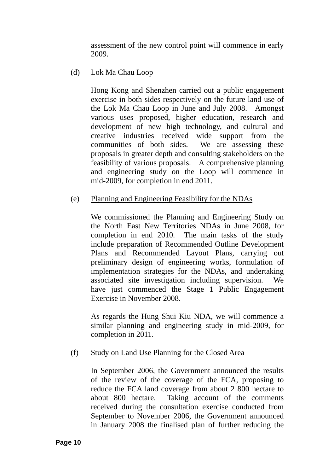assessment of the new control point will commence in early 2009.

## (d) Lok Ma Chau Loop

 Hong Kong and Shenzhen carried out a public engagement exercise in both sides respectively on the future land use of the Lok Ma Chau Loop in June and July 2008. Amongst various uses proposed, higher education, research and development of new high technology, and cultural and creative industries received wide support from the communities of both sides. We are assessing these proposals in greater depth and consulting stakeholders on the feasibility of various proposals. A comprehensive planning and engineering study on the Loop will commence in mid-2009, for completion in end 2011.

## (e) Planning and Engineering Feasibility for the NDAs

We commissioned the Planning and Engineering Study on the North East New Territories NDAs in June 2008, for completion in end 2010. The main tasks of the study include preparation of Recommended Outline Development Plans and Recommended Layout Plans, carrying out preliminary design of engineering works, formulation of implementation strategies for the NDAs, and undertaking associated site investigation including supervision. We have just commenced the Stage 1 Public Engagement Exercise in November 2008.

As regards the Hung Shui Kiu NDA, we will commence a similar planning and engineering study in mid-2009, for completion in 2011.

## (f) Study on Land Use Planning for the Closed Area

In September 2006, the Government announced the results of the review of the coverage of the FCA, proposing to reduce the FCA land coverage from about 2 800 hectare to about 800 hectare. Taking account of the comments received during the consultation exercise conducted from September to November 2006, the Government announced in January 2008 the finalised plan of further reducing the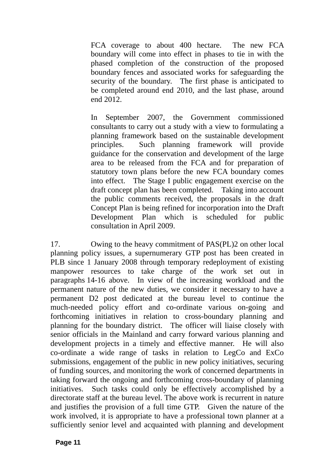FCA coverage to about 400 hectare. The new FCA boundary will come into effect in phases to tie in with the phased completion of the construction of the proposed boundary fences and associated works for safeguarding the security of the boundary. The first phase is anticipated to be completed around end 2010, and the last phase, around end 2012.

In September 2007, the Government commissioned consultants to carry out a study with a view to formulating a planning framework based on the sustainable development principles. Such planning framework will provide guidance for the conservation and development of the large area to be released from the FCA and for preparation of statutory town plans before the new FCA boundary comes into effect. The Stage I public engagement exercise on the draft concept plan has been completed. Taking into account the public comments received, the proposals in the draft Concept Plan is being refined for incorporation into the Draft Development Plan which is scheduled for public consultation in April 2009.

17. Owing to the heavy commitment of PAS(PL)2 on other local planning policy issues, a supernumerary GTP post has been created in PLB since 1 January 2008 through temporary redeployment of existing manpower resources to take charge of the work set out in paragraphs 14-16 above. In view of the increasing workload and the permanent nature of the new duties, we consider it necessary to have a permanent D2 post dedicated at the bureau level to continue the much-needed policy effort and co-ordinate various on-going and forthcoming initiatives in relation to cross-boundary planning and planning for the boundary district. The officer will liaise closely with senior officials in the Mainland and carry forward various planning and development projects in a timely and effective manner. He will also co-ordinate a wide range of tasks in relation to LegCo and ExCo submissions, engagement of the public in new policy initiatives, securing of funding sources, and monitoring the work of concerned departments in taking forward the ongoing and forthcoming cross-boundary of planning initiatives. Such tasks could only be effectively accomplished by a directorate staff at the bureau level. The above work is recurrent in nature and justifies the provision of a full time GTP. Given the nature of the work involved, it is appropriate to have a professional town planner at a sufficiently senior level and acquainted with planning and development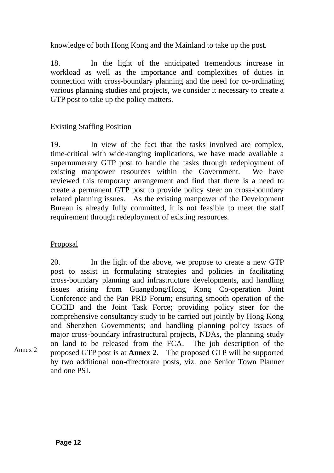knowledge of both Hong Kong and the Mainland to take up the post.

18. In the light of the anticipated tremendous increase in workload as well as the importance and complexities of duties in connection with cross-boundary planning and the need for co-ordinating various planning studies and projects, we consider it necessary to create a GTP post to take up the policy matters.

## Existing Staffing Position

19. In view of the fact that the tasks involved are complex, time-critical with wide-ranging implications, we have made available a supernumerary GTP post to handle the tasks through redeployment of existing manpower resources within the Government. We have reviewed this temporary arrangement and find that there is a need to create a permanent GTP post to provide policy steer on cross-boundary related planning issues. As the existing manpower of the Development Bureau is already fully committed, it is not feasible to meet the staff requirement through redeployment of existing resources.

## Proposal

Annex 2

20. In the light of the above, we propose to create a new GTP post to assist in formulating strategies and policies in facilitating cross-boundary planning and infrastructure developments, and handling issues arising from Guangdong/Hong Kong Co-operation Joint Conference and the Pan PRD Forum; ensuring smooth operation of the CCCID and the Joint Task Force; providing policy steer for the comprehensive consultancy study to be carried out jointly by Hong Kong and Shenzhen Governments; and handling planning policy issues of major cross-boundary infrastructural projects, NDAs, the planning study on land to be released from the FCA. The job description of the proposed GTP post is at **Annex 2**. The proposed GTP will be supported by two additional non-directorate posts, viz. one Senior Town Planner and one PSI.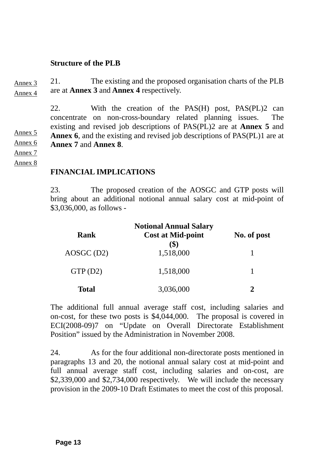#### **Structure of the PLB**

21. The existing and the proposed organisation charts of the PLB are at **Annex 3** and **Annex 4** respectively. Annex 3 Annex 4

> 22. With the creation of the PAS(H) post, PAS(PL)2 can concentrate on non-cross-boundary related planning issues. The existing and revised job descriptions of PAS(PL)2 are at **Annex 5** and **Annex 6**, and the existing and revised job descriptions of PAS(PL)1 are at **Annex 7** and **Annex 8**.

Annex 6 Annex 7

Annex 5

Annex 8

## **FINANCIAL IMPLICATIONS**

23. The proposed creation of the AOSGC and GTP posts will bring about an additional notional annual salary cost at mid-point of \$3,036,000, as follows -

| Rank         | <b>Notional Annual Salary</b><br><b>Cost at Mid-point</b> | No. of post |
|--------------|-----------------------------------------------------------|-------------|
| AOSGC (D2)   | 1,518,000                                                 |             |
| GTP(D2)      | 1,518,000                                                 |             |
| <b>Total</b> | 3,036,000                                                 |             |

The additional full annual average staff cost, including salaries and on-cost, for these two posts is \$4,044,000. The proposal is covered in ECI(2008-09)7 on "Update on Overall Directorate Establishment Position" issued by the Administration in November 2008.

24. As for the four additional non-directorate posts mentioned in paragraphs 13 and 20, the notional annual salary cost at mid-point and full annual average staff cost, including salaries and on-cost, are \$2,339,000 and \$2,734,000 respectively. We will include the necessary provision in the 2009-10 Draft Estimates to meet the cost of this proposal.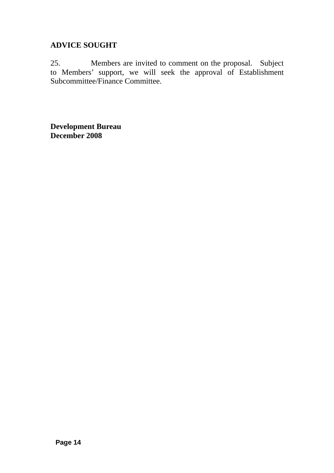## **ADVICE SOUGHT**

25. Members are invited to comment on the proposal. Subject to Members' support, we will seek the approval of Establishment Subcommittee/Finance Committee.

**Development Bureau December 2008**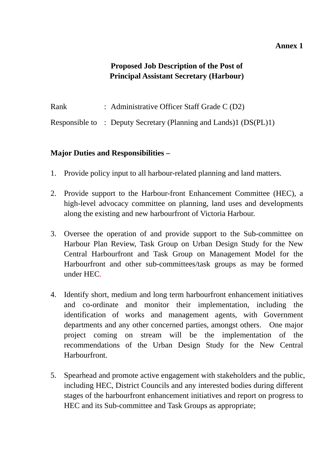#### **Annex 1**

## **Proposed Job Description of the Post of Principal Assistant Secretary (Harbour)**

Rank : Administrative Officer Staff Grade C (D2)

Responsible to : Deputy Secretary (Planning and Lands)1 (DS(PL)1)

- 1. Provide policy input to all harbour-related planning and land matters.
- 2. Provide support to the Harbour-front Enhancement Committee (HEC), a high-level advocacy committee on planning, land uses and developments along the existing and new harbourfront of Victoria Harbour.
- 3. Oversee the operation of and provide support to the Sub-committee on Harbour Plan Review, Task Group on Urban Design Study for the New Central Harbourfront and Task Group on Management Model for the Harbourfront and other sub-committees/task groups as may be formed under HEC.
- 4. Identify short, medium and long term harbourfront enhancement initiatives and co-ordinate and monitor their implementation, including the identification of works and management agents, with Government departments and any other concerned parties, amongst others. One major project coming on stream will be the implementation of the recommendations of the Urban Design Study for the New Central **Harbourfront**
- 5. Spearhead and promote active engagement with stakeholders and the public, including HEC, District Councils and any interested bodies during different stages of the harbourfront enhancement initiatives and report on progress to HEC and its Sub-committee and Task Groups as appropriate;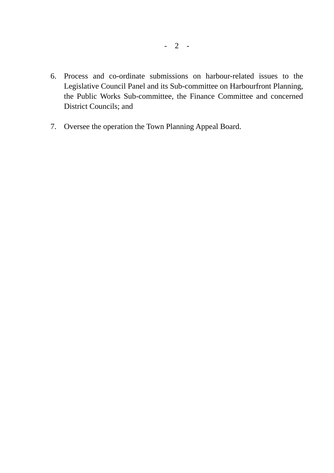- 6. Process and co-ordinate submissions on harbour-related issues to the Legislative Council Panel and its Sub-committee on Harbourfront Planning, the Public Works Sub-committee, the Finance Committee and concerned District Councils; and
- 7. Oversee the operation the Town Planning Appeal Board.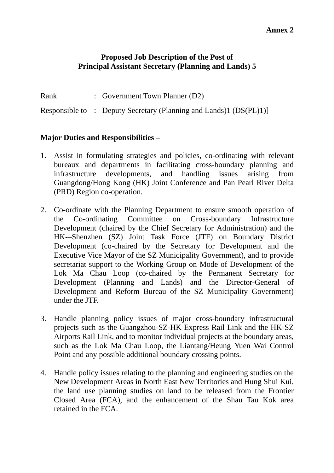#### **Annex 2**

#### **Proposed Job Description of the Post of Principal Assistant Secretary (Planning and Lands) 5**

- Rank : Government Town Planner (D2)
- Responsible to : Deputy Secretary (Planning and Lands)1 (DS(PL)1)]

- 1. Assist in formulating strategies and policies, co-ordinating with relevant bureaux and departments in facilitating cross-boundary planning and infrastructure developments, and handling issues arising from Guangdong/Hong Kong (HK) Joint Conference and Pan Pearl River Delta (PRD) Region co-operation.
- 2. Co-ordinate with the Planning Department to ensure smooth operation of the Co-ordinating Committee on Cross-boundary Infrastructure Development (chaired by the Chief Secretary for Administration) and the HK-–Shenzhen (SZ) Joint Task Force (JTF) on Boundary District Development (co-chaired by the Secretary for Development and the Executive Vice Mayor of the SZ Municipality Government), and to provide secretariat support to the Working Group on Mode of Development of the Lok Ma Chau Loop (co-chaired by the Permanent Secretary for Development (Planning and Lands) and the Director-General of Development and Reform Bureau of the SZ Municipality Government) under the JTF.
- 3. Handle planning policy issues of major cross-boundary infrastructural projects such as the Guangzhou-SZ-HK Express Rail Link and the HK-SZ Airports Rail Link, and to monitor individual projects at the boundary areas, such as the Lok Ma Chau Loop, the Liantang/Heung Yuen Wai Control Point and any possible additional boundary crossing points.
- 4. Handle policy issues relating to the planning and engineering studies on the New Development Areas in North East New Territories and Hung Shui Kui, the land use planning studies on land to be released from the Frontier Closed Area (FCA), and the enhancement of the Shau Tau Kok area retained in the FCA.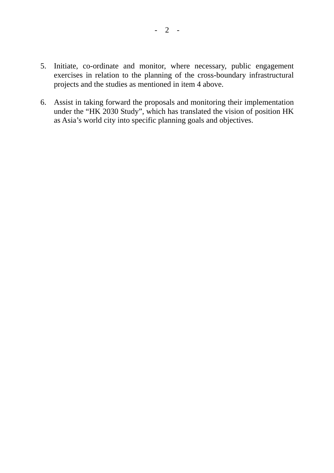- 5. Initiate, co-ordinate and monitor, where necessary, public engagement exercises in relation to the planning of the cross-boundary infrastructural projects and the studies as mentioned in item 4 above.
- 6. Assist in taking forward the proposals and monitoring their implementation under the "HK 2030 Study", which has translated the vision of position HK as Asia's world city into specific planning goals and objectives.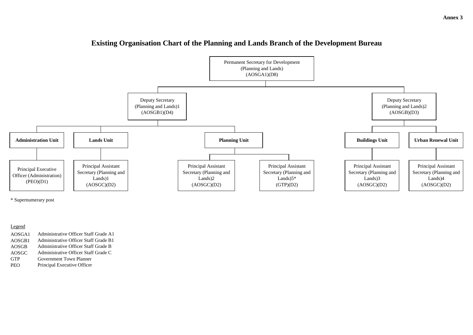#### Legend

| AOSGA1       | Administrative Officer Staff Grade A1 |
|--------------|---------------------------------------|
| AOSGB1       | Administrative Officer Staff Grade B1 |
| <b>AOSGB</b> | Administrative Officer Staff Grade B  |
| AOSGC        | Administrative Officer Staff Grade C  |
| <b>GTP</b>   | <b>Government Town Planner</b>        |
| <b>PEO</b>   | Principal Executive Officer           |

# **Existing Organisation Chart of the Planning and Lands Branch of the Development Bureau**



\* Supernumerary post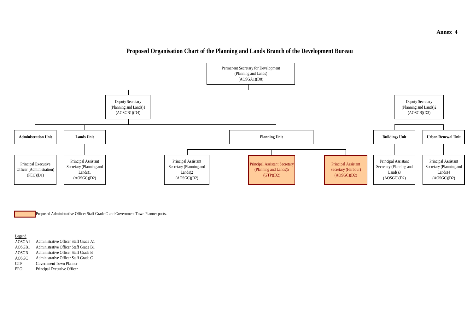Legend

Proposed Administrative Officer Staff Grade C and Government Town Planner posts.

# **Proposed Organisation Chart of the Planning and Lands Branch of the Development Bureau**

| AOSGA1       | Administrative Officer Staff Grade A1 |
|--------------|---------------------------------------|
| AOSGB1       | Administrative Officer Staff Grade B1 |
| <b>AOSGB</b> | Administrative Officer Staff Grade B  |
| AOSGC        | Administrative Officer Staff Grade C  |
| <b>GTP</b>   | Government Town Planner               |
| <b>PEO</b>   | Principal Executive Officer           |



## **Annex 4**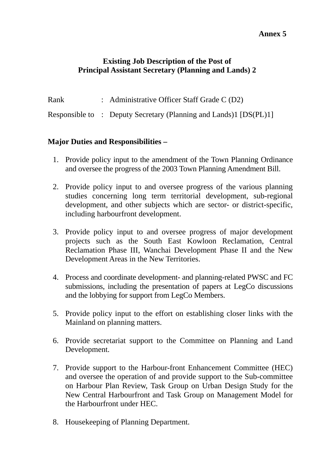#### **Annex 5**

## **Existing Job Description of the Post of Principal Assistant Secretary (Planning and Lands) 2**

Rank : Administrative Officer Staff Grade C (D2)

Responsible to : Deputy Secretary (Planning and Lands)1 [DS(PL)1]

- 1. Provide policy input to the amendment of the Town Planning Ordinance and oversee the progress of the 2003 Town Planning Amendment Bill.
- 2. Provide policy input to and oversee progress of the various planning studies concerning long term territorial development, sub-regional development, and other subjects which are sector- or district-specific, including harbourfront development.
- 3. Provide policy input to and oversee progress of major development projects such as the South East Kowloon Reclamation, Central Reclamation Phase III, Wanchai Development Phase II and the New Development Areas in the New Territories.
- 4. Process and coordinate development- and planning-related PWSC and FC submissions, including the presentation of papers at LegCo discussions and the lobbying for support from LegCo Members.
- 5. Provide policy input to the effort on establishing closer links with the Mainland on planning matters.
- 6. Provide secretariat support to the Committee on Planning and Land Development.
- 7. Provide support to the Harbour-front Enhancement Committee (HEC) and oversee the operation of and provide support to the Sub-committee on Harbour Plan Review, Task Group on Urban Design Study for the New Central Harbourfront and Task Group on Management Model for the Harbourfront under HEC.
- 8. Housekeeping of Planning Department.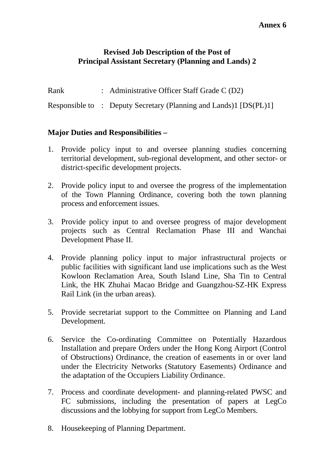## **Revised Job Description of the Post of Principal Assistant Secretary (Planning and Lands) 2**

Rank : Administrative Officer Staff Grade C (D2)

Responsible to : Deputy Secretary (Planning and Lands)1 [DS(PL)1]

- 1. Provide policy input to and oversee planning studies concerning territorial development, sub-regional development, and other sector- or district-specific development projects.
- 2. Provide policy input to and oversee the progress of the implementation of the Town Planning Ordinance, covering both the town planning process and enforcement issues.
- 3. Provide policy input to and oversee progress of major development projects such as Central Reclamation Phase III and Wanchai Development Phase II.
- 4. Provide planning policy input to major infrastructural projects or public facilities with significant land use implications such as the West Kowloon Reclamation Area, South Island Line, Sha Tin to Central Link, the HK Zhuhai Macao Bridge and Guangzhou-SZ-HK Express Rail Link (in the urban areas).
- 5. Provide secretariat support to the Committee on Planning and Land Development.
- 6. Service the Co-ordinating Committee on Potentially Hazardous Installation and prepare Orders under the Hong Kong Airport (Control of Obstructions) Ordinance, the creation of easements in or over land under the Electricity Networks (Statutory Easements) Ordinance and the adaptation of the Occupiers Liability Ordinance.
- 7. Process and coordinate development- and planning-related PWSC and FC submissions, including the presentation of papers at LegCo discussions and the lobbying for support from LegCo Members.
- 8. Housekeeping of Planning Department.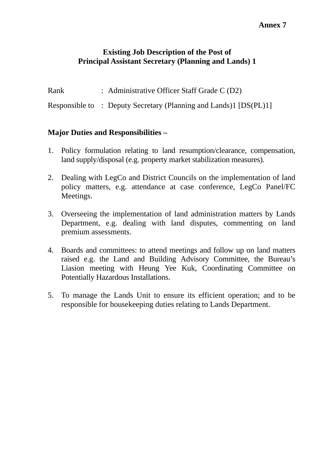## **Existing Job Description of the Post of Principal Assistant Secretary (Planning and Lands) 1**

Rank : Administrative Officer Staff Grade C (D2)

Responsible to : Deputy Secretary (Planning and Lands)1 [DS(PL)1]

- 1. Policy formulation relating to land resumption/clearance, compensation, land supply/disposal (e.g. property market stabilization measures).
- 2. Dealing with LegCo and District Councils on the implementation of land policy matters, e.g. attendance at case conference, LegCo Panel/FC Meetings.
- 3. Overseeing the implementation of land administration matters by Lands Department, e.g. dealing with land disputes, commenting on land premium assessments.
- 4. Boards and committees: to attend meetings and follow up on land matters raised e.g. the Land and Building Advisory Committee, the Bureau's Liasion meeting with Heung Yee Kuk, Coordinating Committee on Potentially Hazardous Installations.
- 5. To manage the Lands Unit to ensure its efficient operation; and to be responsible for housekeeping duties relating to Lands Department.